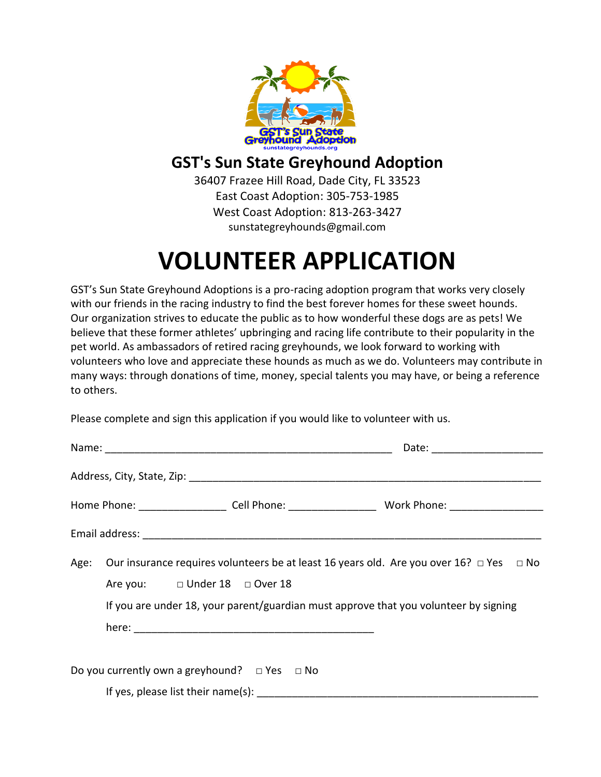

## **GST's Sun State Greyhound Adoption**

36407 Frazee Hill Road, Dade City, FL 33523 East Coast Adoption: 305-753-1985 West Coast Adoption: 813-263-3427 sunstategreyhounds@gmail.com

## **VOLUNTEER APPLICATION**

GST's Sun State Greyhound Adoptions is a pro-racing adoption program that works very closely with our friends in the racing industry to find the best forever homes for these sweet hounds. Our organization strives to educate the public as to how wonderful these dogs are as pets! We believe that these former athletes' upbringing and racing life contribute to their popularity in the pet world. As ambassadors of retired racing greyhounds, we look forward to working with volunteers who love and appreciate these hounds as much as we do. Volunteers may contribute in many ways: through donations of time, money, special talents you may have, or being a reference to others.

Please complete and sign this application if you would like to volunteer with us.

| Date: _______________________                          |                                                                                                                                                                                                |  |
|--------------------------------------------------------|------------------------------------------------------------------------------------------------------------------------------------------------------------------------------------------------|--|
|                                                        |                                                                                                                                                                                                |  |
|                                                        | Home Phone: ________________________ Cell Phone: ________________________________ Work Phone: ________________                                                                                 |  |
|                                                        |                                                                                                                                                                                                |  |
| Are you: □ Under 18 □ Over 18                          | Age: Our insurance requires volunteers be at least 16 years old. Are you over 16? $\Box$ Yes $\Box$ No<br>If you are under 18, your parent/guardian must approve that you volunteer by signing |  |
| Do you currently own a greyhound? $\Box$ Yes $\Box$ No |                                                                                                                                                                                                |  |